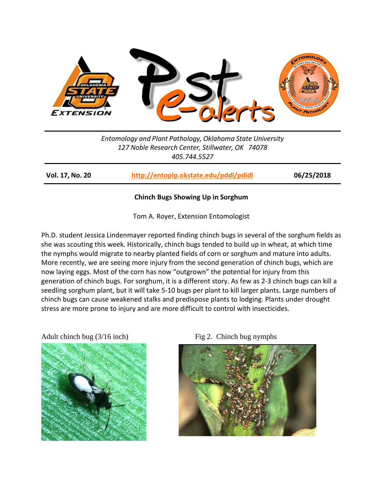

*Entomology and Plant Pathology, Oklahoma State University 127 Noble Research Center, Stillwater, OK 74078 405.744.5527*

**Vol. 17, No. 20 <http://entoplp.okstate.edu/pddl/pdidl> 06/25/2018**

## **Chinch Bugs Showing Up in Sorghum**

Tom A. Royer, Extension Entomologist

Ph.D. student Jessica Lindenmayer reported finding chinch bugs in several of the sorghum fields as she was scouting this week. Historically, chinch bugs tended to build up in wheat, at which time the nymphs would migrate to nearby planted fields of corn or sorghum and mature into adults. More recently, we are seeing more injury from the second generation of chinch bugs, which are now laying eggs. Most of the corn has now "outgrown" the potential for injury from this generation of chinch bugs. For sorghum, it is a different story. As few as 2-3 chinch bugs can kill a seedling sorghum plant, but it will take 5-10 bugs per plant to kill larger plants. Large numbers of chinch bugs can cause weakened stalks and predispose plants to lodging. Plants under drought stress are more prone to injury and are more difficult to control with insecticides.

Adult chinch bug (3/16 inch) Fig 2. Chinch bug nymphs